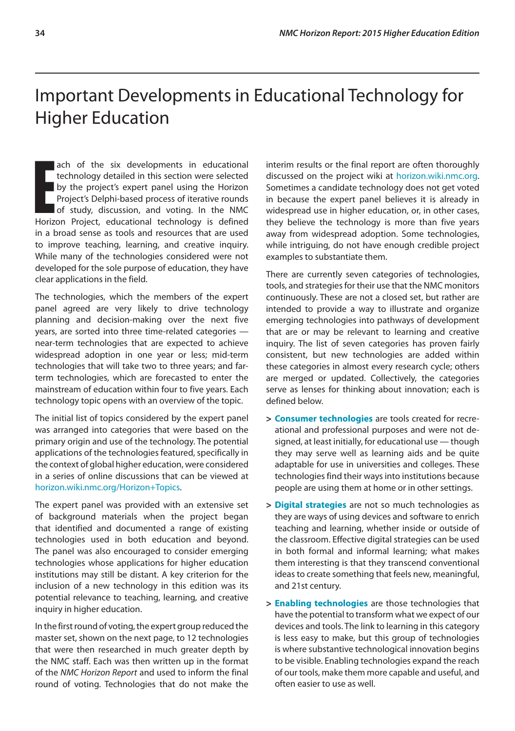# Important Developments in Educational Technology for Higher Education

**Exercise 15 and the six developments in educational technology detailed in this section were selected by the project's expert panel using the Horizon Project's Delphi-based process of iterative rounds of study, discussion** ach of the six developments in educational technology detailed in this section were selected by the project's expert panel using the Horizon Project's Delphi-based process of iterative rounds of study, discussion, and voting. In the NMC in a broad sense as tools and resources that are used to improve teaching, learning, and creative inquiry. While many of the technologies considered were not developed for the sole purpose of education, they have clear applications in the field.

The technologies, which the members of the expert panel agreed are very likely to drive technology planning and decision-making over the next five years, are sorted into three time-related categories near-term technologies that are expected to achieve widespread adoption in one year or less; mid-term technologies that will take two to three years; and farterm technologies, which are forecasted to enter the mainstream of education within four to five years. Each technology topic opens with an overview of the topic.

The initial list of topics considered by the expert panel was arranged into categories that were based on the primary origin and use of the technology. The potential applications of the technologies featured, specifically in the context of global higher education, were considered in a series of online discussions that can be viewed at [horizon.wiki.nmc.org/Horizon+Topics](http://horizon.wiki.nmc.org/Horizon+Topics).

The expert panel was provided with an extensive set of background materials when the project began that identified and documented a range of existing technologies used in both education and beyond. The panel was also encouraged to consider emerging technologies whose applications for higher education institutions may still be distant. A key criterion for the inclusion of a new technology in this edition was its potential relevance to teaching, learning, and creative inquiry in higher education.

In the first round of voting, the expert group reduced the master set, shown on the next page, to 12 technologies that were then researched in much greater depth by the NMC staff. Each was then written up in the format of the *NMC Horizon Report* and used to inform the final round of voting. Technologies that do not make the

interim results or the final report are often thoroughly discussed on the project wiki at [horizon.wiki.nmc.org](http://horizon.wiki.nmc.org). Sometimes a candidate technology does not get voted in because the expert panel believes it is already in widespread use in higher education, or, in other cases, they believe the technology is more than five years away from widespread adoption. Some technologies, while intriguing, do not have enough credible project examples to substantiate them.

There are currently seven categories of technologies, tools, and strategies for their use that the NMC monitors continuously. These are not a closed set, but rather are intended to provide a way to illustrate and organize emerging technologies into pathways of development that are or may be relevant to learning and creative inquiry. The list of seven categories has proven fairly consistent, but new technologies are added within these categories in almost every research cycle; others are merged or updated. Collectively, the categories serve as lenses for thinking about innovation; each is defined below.

- **> Consumer technologies** are tools created for recreational and professional purposes and were not designed, at least initially, for educational use — though they may serve well as learning aids and be quite adaptable for use in universities and colleges. These technologies find their ways into institutions because people are using them at home or in other settings.
- **> Digital strategies** are not so much technologies as they are ways of using devices and software to enrich teaching and learning, whether inside or outside of the classroom. Effective digital strategies can be used in both formal and informal learning; what makes them interesting is that they transcend conventional ideas to create something that feels new, meaningful, and 21st century.
- **> Enabling technologies** are those technologies that have the potential to transform what we expect of our devices and tools. The link to learning in this category is less easy to make, but this group of technologies is where substantive technological innovation begins to be visible. Enabling technologies expand the reach of our tools, make them more capable and useful, and often easier to use as well.